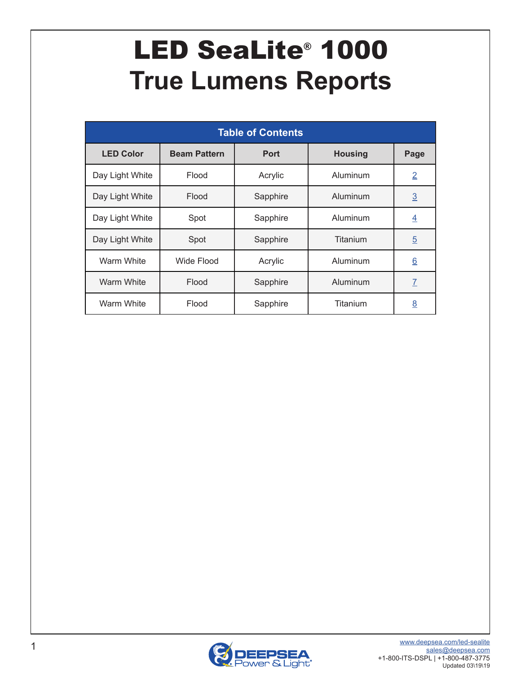# <span id="page-0-0"></span>LED SeaLite® 1000 **True Lumens Reports**

| <b>Table of Contents</b> |                     |             |                |                 |  |  |  |  |  |
|--------------------------|---------------------|-------------|----------------|-----------------|--|--|--|--|--|
| <b>LED Color</b>         | <b>Beam Pattern</b> | <b>Port</b> | <b>Housing</b> | Page            |  |  |  |  |  |
| Day Light White          | Flood               | Acrylic     | Aluminum       | $\overline{2}$  |  |  |  |  |  |
| Day Light White          | Flood               | Sapphire    | Aluminum       | $\underline{3}$ |  |  |  |  |  |
| Day Light White          | Spot                | Sapphire    | Aluminum       | $\overline{4}$  |  |  |  |  |  |
| Day Light White          | Spot                | Sapphire    | Titanium       | $\overline{5}$  |  |  |  |  |  |
| Warm White               | Wide Flood          | Acrylic     | Aluminum       | $\underline{6}$ |  |  |  |  |  |
| <b>Warm White</b>        | Flood               | Sapphire    | Aluminum       | $\overline{1}$  |  |  |  |  |  |
| Warm White               | Flood               | Sapphire    | Titanium       | $\underline{8}$ |  |  |  |  |  |

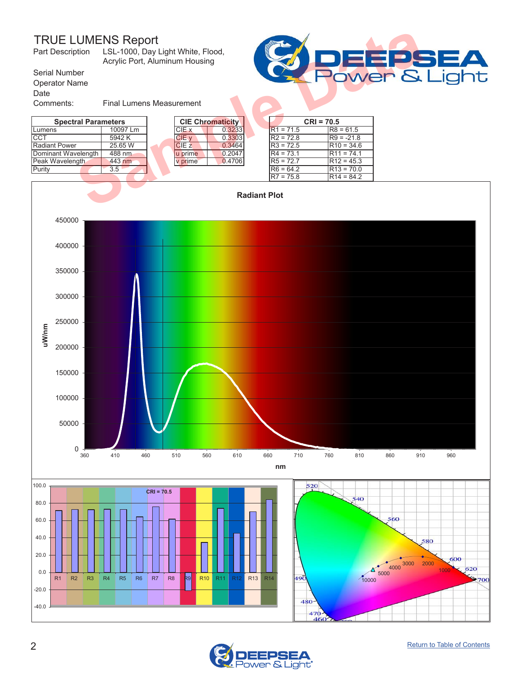LSL-1000, Day Light White, Flood, Acrylic Port, Aluminum Housing Part Description

Serial Number Operator Name

Date

Comments: Final Lumens Measurement

| i grad<br><b>Allen</b><br>ower & Liaht |
|----------------------------------------|
|                                        |

<span id="page-1-0"></span>



470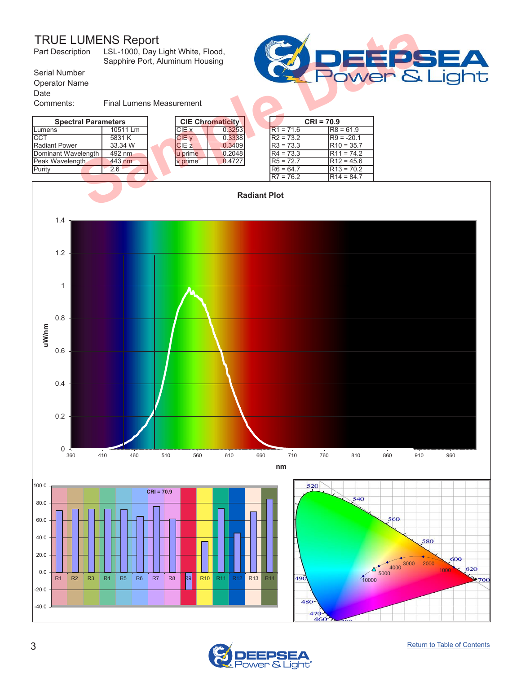<span id="page-2-0"></span>

| <b>TRUE LUMENS Report</b><br>LSL-1000, Day Light White, Flood,<br>Part Description<br>Sapphire Port, Aluminum Housing |                                 |  |              |                         |  |             |              |  |
|-----------------------------------------------------------------------------------------------------------------------|---------------------------------|--|--------------|-------------------------|--|-------------|--------------|--|
| Serial Number                                                                                                         | Power &                         |  |              |                         |  |             |              |  |
| <b>Operator Name</b>                                                                                                  |                                 |  |              |                         |  |             |              |  |
| Date                                                                                                                  |                                 |  |              |                         |  |             |              |  |
| Comments:                                                                                                             | <b>Final Lumens Measurement</b> |  |              |                         |  |             |              |  |
| <b>Spectral Parameters</b>                                                                                            |                                 |  |              | <b>CIE Chromaticity</b> |  |             | $CRI = 70.9$ |  |
| Lumens                                                                                                                | 10511 Lm                        |  | CIE x        | 0.3253                  |  | $R1 = 71.6$ | $R8 = 61.9$  |  |
| CCT                                                                                                                   | 5831 K                          |  | CIE v        | 0.3338                  |  | $R2 = 73.2$ | $R9 = -20.1$ |  |
| <b>Radiant Power</b>                                                                                                  | 33.34 W                         |  | <b>CIE z</b> | 0.3409                  |  | $R3 = 73.3$ | $R10 = 35.7$ |  |
| Dominant Wavelength                                                                                                   | 492 nm                          |  | u prime      | 0.2048                  |  | $R4 = 73.3$ | $R11 = 74.2$ |  |
| Peak Wavelength                                                                                                       | 443 nm                          |  | v prime      | 0.4727                  |  | $R5 = 72.7$ | $R12 = 45.6$ |  |
| Purity                                                                                                                | 2.6                             |  |              |                         |  | $R6 = 64.7$ | $R13 = 70.2$ |  |
|                                                                                                                       |                                 |  |              |                         |  | $R7 = 76.2$ | $R14 = 84.7$ |  |
| <b>Radiant Plot</b>                                                                                                   |                                 |  |              |                         |  |             |              |  |





١t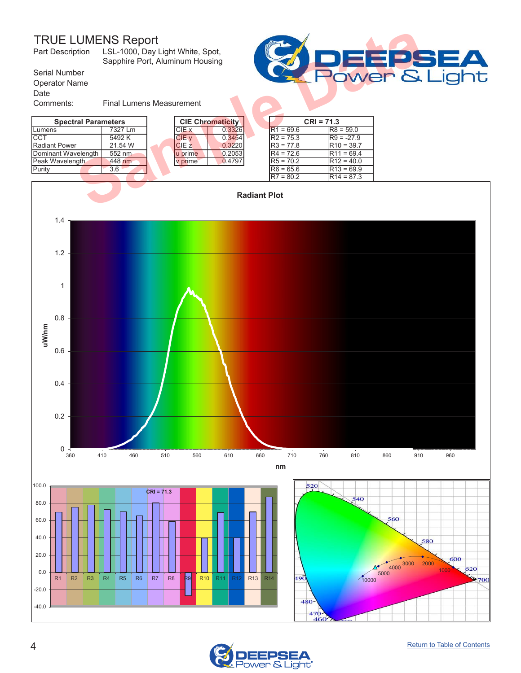<span id="page-3-0"></span>

| Part Description                              | <b>TRUE LUMENS Report</b><br>LSL-1000, Day Light White, Spot,<br>Sapphire Port, Aluminum Housing |  |              |                         |                     |             |              |              |  |
|-----------------------------------------------|--------------------------------------------------------------------------------------------------|--|--------------|-------------------------|---------------------|-------------|--------------|--------------|--|
| Serial Number<br><b>Operator Name</b><br>Date | Power &                                                                                          |  |              |                         |                     |             |              |              |  |
| Comments:                                     | <b>Final Lumens Measurement</b>                                                                  |  |              |                         |                     |             |              |              |  |
| <b>Spectral Parameters</b>                    |                                                                                                  |  |              | <b>CIE Chromaticity</b> |                     |             | $CRI = 71.3$ |              |  |
| Lumens                                        | 7327 Lm                                                                                          |  | CIE x        | 0.3326                  |                     | $R1 = 69.6$ |              | $R8 = 59.0$  |  |
| <b>CCT</b>                                    | 5492K                                                                                            |  | CIE v        | 0.3454                  |                     | $R2 = 75.3$ |              | $R9 = -27.9$ |  |
| <b>Radiant Power</b>                          | 21.54 W                                                                                          |  | <b>CIE z</b> | 0.3220                  |                     | $R3 = 77.8$ |              | $R10 = 39.7$ |  |
| Dominant Wavelength                           | 552 nm                                                                                           |  | u prime      | 0.2053                  |                     | $R4 = 72.6$ |              | $R11 = 69.4$ |  |
| Peak Wavelength                               | 448 nm                                                                                           |  | v prime      | 0.4797                  |                     | $R5 = 70.2$ |              | $R12 = 40.0$ |  |
| Purity                                        | 3.6                                                                                              |  |              |                         |                     | $R6 = 65.6$ |              | $R13 = 69.9$ |  |
|                                               |                                                                                                  |  |              |                         |                     | $R7 = 80.2$ |              | $R14 = 87.3$ |  |
|                                               |                                                                                                  |  |              |                         | <b>Radiant Plot</b> |             |              |              |  |





ight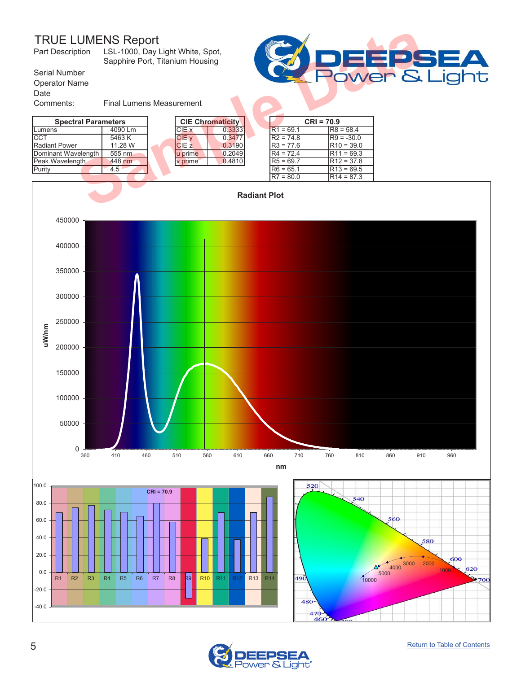

<span id="page-4-0"></span>

| <b>TRUE LUMENS Report</b><br>LSL-1000, Day Light White, Spot,<br>Part Description<br>Sapphire Port, Titanium Housing |                                 |  |                  |                         |  |             |              |  |
|----------------------------------------------------------------------------------------------------------------------|---------------------------------|--|------------------|-------------------------|--|-------------|--------------|--|
| Serial Number                                                                                                        | Power &                         |  |                  |                         |  |             |              |  |
| <b>Operator Name</b>                                                                                                 |                                 |  |                  |                         |  |             |              |  |
| Date                                                                                                                 |                                 |  |                  |                         |  |             |              |  |
| Comments:                                                                                                            | <b>Final Lumens Measurement</b> |  |                  |                         |  |             |              |  |
| <b>Spectral Parameters</b>                                                                                           |                                 |  |                  | <b>CIE Chromaticity</b> |  |             | $CRI = 70.9$ |  |
| Lumens                                                                                                               | 4090 Lm                         |  | CIE x            | 0.3333                  |  | $R1 = 69.1$ | $R8 = 58.4$  |  |
| <b>CCT</b>                                                                                                           | 5463 K                          |  | CIE v            | 0.3477                  |  | $R2 = 74.8$ | $R9 = -30.0$ |  |
| <b>Radiant Power</b>                                                                                                 | 11.28 W                         |  | CIE <sub>z</sub> | 0.3190                  |  | $R3 = 77.6$ | $R10 = 39.0$ |  |
| Dominant Wavelength                                                                                                  | 555 nm                          |  | u prime          | 0.2049                  |  | $R4 = 72.4$ | $R11 = 69.3$ |  |
| Peak Wavelength                                                                                                      | 448 nm                          |  | v prime          | 0.4810                  |  | $R5 = 69.7$ | $R12 = 37.8$ |  |
| Purity                                                                                                               | 4.5                             |  |                  |                         |  | $R6 = 65.1$ | $R13 = 69.5$ |  |
|                                                                                                                      |                                 |  |                  |                         |  | $R7 = 80.0$ | $R14 = 87.3$ |  |
| <b>Radiant Plot</b>                                                                                                  |                                 |  |                  |                         |  |             |              |  |



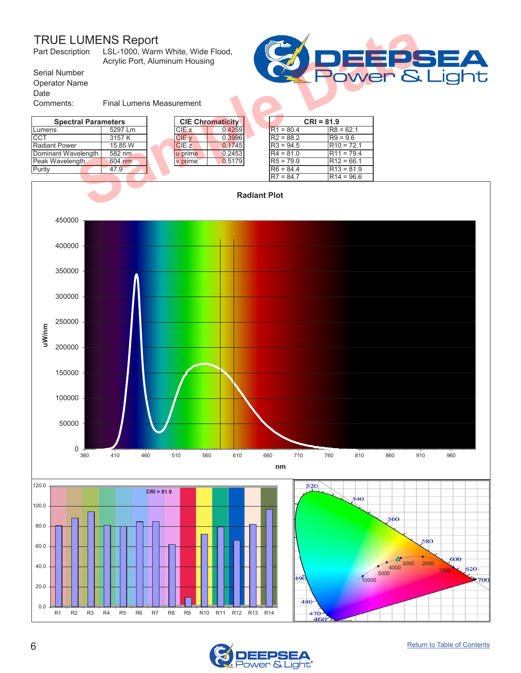<span id="page-5-0"></span>

| <b>TRUE LUMENS Report</b><br>Part Description |                                 |  |                  |                         | <b>SET</b> |             |              |              |  |
|-----------------------------------------------|---------------------------------|--|------------------|-------------------------|------------|-------------|--------------|--------------|--|
| Serial Number                                 | <b>POWER &amp;</b>              |  |                  |                         |            |             |              |              |  |
| <b>Operator Name</b>                          |                                 |  |                  |                         |            |             |              |              |  |
| Date                                          |                                 |  |                  |                         |            |             |              |              |  |
| Comments:                                     | <b>Final Lumens Measurement</b> |  |                  |                         |            |             |              |              |  |
| <b>Spectral Parameters</b>                    |                                 |  |                  | <b>CIE Chromaticity</b> |            |             | $CRI = 81.9$ |              |  |
| Lumens                                        | 5297 Lm                         |  | CIE x            | 0.4259                  |            | $R1 = 80.4$ |              | $R8 = 62.1$  |  |
| ICCT                                          | 3157 K                          |  | CIE v            | 0.3996                  |            | $R2 = 88.2$ |              | $R9 = 9.6$   |  |
| Radiant Power                                 | 15.85 W                         |  | CIE <sub>z</sub> | 0.1745                  |            | $R3 = 94.5$ |              | $R10 = 72.1$ |  |
| Dominant Wavelength                           | 582 nm                          |  | u prime          | 0.2453                  |            | $R4 = 81.0$ |              | $R11 = 79.4$ |  |
| Peak Wavelength                               | 604 nm                          |  | v prime          | 0.5179                  |            | $R5 = 79.9$ |              | $R12 = 66.1$ |  |
| Purity                                        | 47.9                            |  |                  |                         |            | $R6 = 84.4$ |              | $R13 = 81.9$ |  |
|                                               |                                 |  |                  |                         |            | $R7 = 84.7$ |              | $R14 = 96.6$ |  |
| <b>Radiant Plot</b>                           |                                 |  |                  |                         |            |             |              |              |  |





ight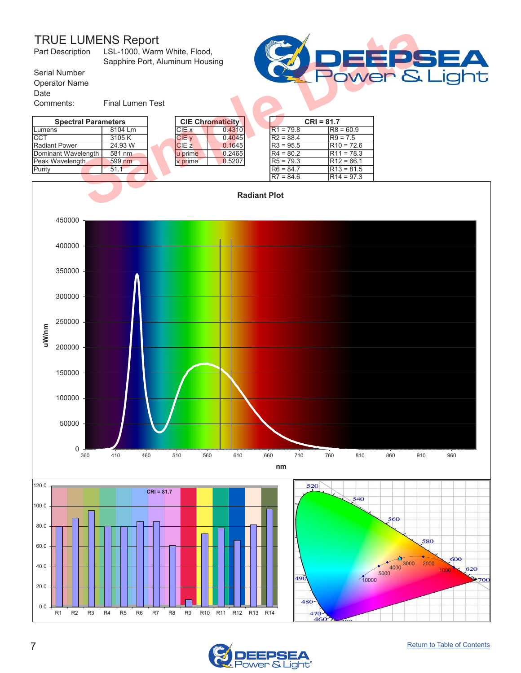LSL-1000, Warm White, Flood, Sapphire Port, Aluminum Housing Part Description

Serial Number Operator Name

Date

٦t

Comments: Final Lumen Test Lumens | 8104 Lm | |CIE x | 0.4310 | |R1 = 79.8 |R8 = 60.9 CCT  $|3105 \text{ K}|$  CIE y 0.4045 R2 = 88.4 R9 = 7.5 Radiant Power 24.93 W CIE z 0.1645 R3 = 95.5 R10 = 72.6<br>Dominant Wavelength 581 nm uprime 0.2465 R4 = 80.2 R11 = 78.3 Dominant Wavelength **Spectral Parameters**<br>
Lumens | 8104 Lm<br>
CIE X | 0.4310 R1 = 79.8 R8 = 60.9

<span id="page-6-0"></span>